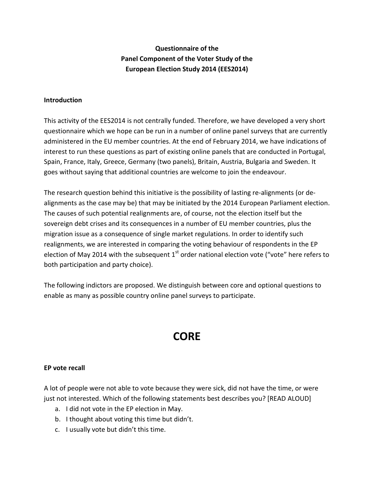## **Questionnaire of the Panel Component of the Voter Study of the European Election Study 2014 (EES2014)**

#### **Introduction**

This activity of the EES2014 is not centrally funded. Therefore, we have developed a very short questionnaire which we hope can be run in a number of online panel surveys that are currently administered in the EU member countries. At the end of February 2014, we have indications of interest to run these questions as part of existing online panels that are conducted in Portugal, Spain, France, Italy, Greece, Germany (two panels), Britain, Austria, Bulgaria and Sweden. It goes without saying that additional countries are welcome to join the endeavour.

The research question behind this initiative is the possibility of lasting re-alignments (or dealignments as the case may be) that may be initiated by the 2014 European Parliament election. The causes of such potential realignments are, of course, not the election itself but the sovereign debt crises and its consequences in a number of EU member countries, plus the migration issue as a consequence of single market regulations. In order to identify such realignments, we are interested in comparing the voting behaviour of respondents in the EP election of May 2014 with the subsequent  $1<sup>st</sup>$  order national election vote ("vote" here refers to both participation and party choice).

The following indictors are proposed. We distinguish between core and optional questions to enable as many as possible country online panel surveys to participate.

# **CORE**

#### **EP vote recall**

A lot of people were not able to vote because they were sick, did not have the time, or were just not interested. Which of the following statements best describes you? [READ ALOUD]

- a. I did not vote in the EP election in May.
- b. I thought about voting this time but didn't.
- c. I usually vote but didn't this time.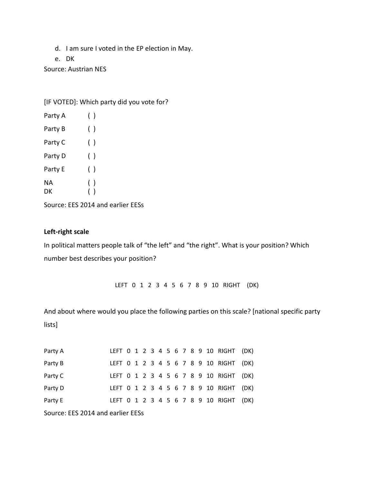- d. I am sure I voted in the EP election in May.
- e. DK

Source: Austrian NES

[IF VOTED]: Which party did you vote for?

| Party A | ( ) |
|---------|-----|
| Party B | ( ) |
| Party C | ( ) |
| Party D | ( ) |
| Party E | ( ) |
| ΝA      | ( ) |
| DK      | ( ) |
|         |     |

Source: EES 2014 and earlier EESs

#### **Left-right scale**

In political matters people talk of "the left" and "the right". What is your position? Which number best describes your position?

LEFT 0 1 2 3 4 5 6 7 8 9 10 RIGHT (DK)

And about where would you place the following parties on this scale? [national specific party lists]

| Party A                           |  |  |  |  |  |  |  |  |  |  |  | LEFT 0 1 2 3 4 5 6 7 8 9 10 RIGHT (DK) |  |
|-----------------------------------|--|--|--|--|--|--|--|--|--|--|--|----------------------------------------|--|
| Party B                           |  |  |  |  |  |  |  |  |  |  |  | LEFT 0 1 2 3 4 5 6 7 8 9 10 RIGHT (DK) |  |
| Party C                           |  |  |  |  |  |  |  |  |  |  |  | LEFT 0 1 2 3 4 5 6 7 8 9 10 RIGHT (DK) |  |
| Party D                           |  |  |  |  |  |  |  |  |  |  |  | LEFT 0 1 2 3 4 5 6 7 8 9 10 RIGHT (DK) |  |
| Party E                           |  |  |  |  |  |  |  |  |  |  |  | LEFT 0 1 2 3 4 5 6 7 8 9 10 RIGHT (DK) |  |
| Source: EES 2014 and earlier EESs |  |  |  |  |  |  |  |  |  |  |  |                                        |  |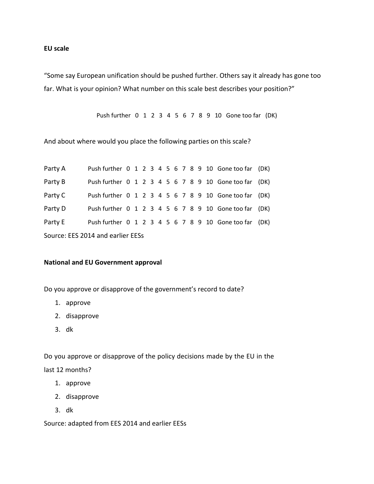#### **EU scale**

"Some say European unification should be pushed further. Others say it already has gone too far. What is your opinion? What number on this scale best describes your position?"

Push further 0 1 2 3 4 5 6 7 8 9 10 Gone too far (DK)

And about where would you place the following parties on this scale?

| Party A                           |  |  |  |  |  |  |  |  |  |  |  | Push further 0 1 2 3 4 5 6 7 8 9 10 Gone too far (DK) |  |
|-----------------------------------|--|--|--|--|--|--|--|--|--|--|--|-------------------------------------------------------|--|
| Party B                           |  |  |  |  |  |  |  |  |  |  |  | Push further 0 1 2 3 4 5 6 7 8 9 10 Gone too far (DK) |  |
| Party C                           |  |  |  |  |  |  |  |  |  |  |  | Push further 0 1 2 3 4 5 6 7 8 9 10 Gone too far (DK) |  |
| Party D                           |  |  |  |  |  |  |  |  |  |  |  | Push further 0 1 2 3 4 5 6 7 8 9 10 Gone too far (DK) |  |
| Party E                           |  |  |  |  |  |  |  |  |  |  |  | Push further 0 1 2 3 4 5 6 7 8 9 10 Gone too far (DK) |  |
| Source: EES 2014 and earlier EESs |  |  |  |  |  |  |  |  |  |  |  |                                                       |  |

#### **National and EU Government approval**

Do you approve or disapprove of the government's record to date?

- 1. approve
- 2. disapprove
- 3. dk

Do you approve or disapprove of the policy decisions made by the EU in the last 12 months?

- 1. approve
- 2. disapprove
- 3. dk

Source: adapted from EES 2014 and earlier EESs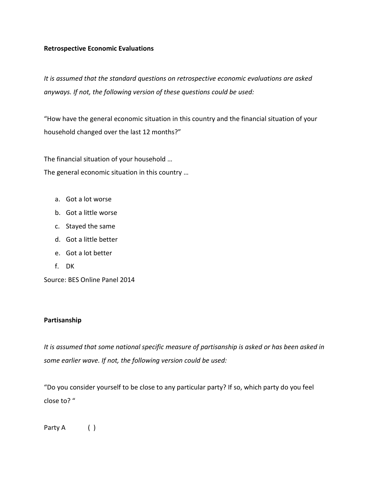#### **Retrospective Economic Evaluations**

*It is assumed that the standard questions on retrospective economic evaluations are asked anyways. If not, the following version of these questions could be used:* 

"How have the general economic situation in this country and the financial situation of your household changed over the last 12 months?"

The financial situation of your household … The general economic situation in this country …

- a. Got a lot worse
- b. Got a little worse
- c. Stayed the same
- d. Got a little better
- e. Got a lot better
- f. DK

Source: BES Online Panel 2014

#### **Partisanship**

*It is assumed that some national specific measure of partisanship is asked or has been asked in some earlier wave. If not, the following version could be used:* 

"Do you consider yourself to be close to any particular party? If so, which party do you feel close to? "

Party A ()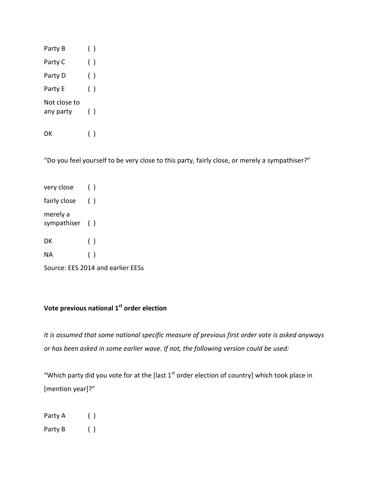| Party B                   | ( )    |  |
|---------------------------|--------|--|
| Party C                   | $(\ )$ |  |
| Party D                   | $(\ )$ |  |
| Party E                   | ( )    |  |
| Not close to<br>any party | ( )    |  |

DK ( )

"Do you feel yourself to be very close to this party, fairly close, or merely a sympathiser?"

| very close                 | ( ) |  |
|----------------------------|-----|--|
| fairly close               | ( ) |  |
| merely a<br>sympathiser () |     |  |
| DK                         | ( ) |  |
| ΝA                         | ( ) |  |
|                            |     |  |

Source: EES 2014 and earlier EESs

# **Vote previous national 1st order election**

*It is assumed that some national specific measure of previous first order vote is asked anyways or has been asked in some earlier wave. If not, the following version could be used:* 

"Which party did you vote for at the [last  $1<sup>st</sup>$  order election of country] which took place in [mention year]?"

Party A ( ) Party B ( )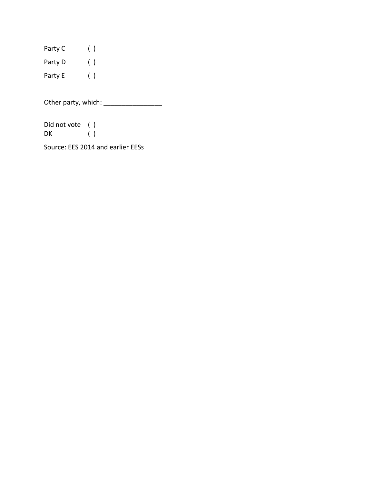Party C () Party D ( ) Party E ( )

Other party, which: \_\_\_\_\_\_\_\_\_\_\_\_\_\_\_\_

Did not vote ( )<br>DK ( )  $\begin{pmatrix} 1 \\ 2 \end{pmatrix}$ 

Source: EES 2014 and earlier EESs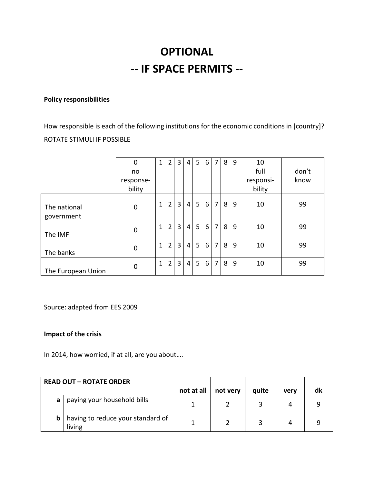# **OPTIONAL -- IF SPACE PERMITS --**

### **Policy responsibilities**

How responsible is each of the following institutions for the economic conditions in [country]? ROTATE STIMULI IF POSSIBLE

|                            | 0           | $\mathbf{1}$ | $\overline{2}$ | 3              | $\overline{4}$ | 5 | 6 | $\overline{7}$ | 8              | 9 | 10        |       |
|----------------------------|-------------|--------------|----------------|----------------|----------------|---|---|----------------|----------------|---|-----------|-------|
|                            | no          |              |                |                |                |   |   |                |                |   | full      | don't |
|                            | response-   |              |                |                |                |   |   |                |                |   | responsi- | know  |
|                            | bility      |              |                |                |                |   |   |                |                |   | bility    |       |
| The national<br>government | $\mathbf 0$ | 1            | $\overline{2}$ | 3              | 4              | 5 | 6 | $\overline{7}$ | 8 <sup>1</sup> | 9 | 10        | 99    |
| The IMF                    | $\mathbf 0$ | 1            | $\overline{2}$ | 3              | 4              | 5 | 6 | $\overline{7}$ | 8 <sup>1</sup> | 9 | 10        | 99    |
| The banks                  | $\mathbf 0$ | $\mathbf{1}$ | $\overline{2}$ | 3              | $\overline{4}$ | 5 | 6 | $\overline{7}$ | 8 <sup>1</sup> | 9 | 10        | 99    |
| The European Union         | $\mathbf 0$ | $\mathbf{1}$ | $\overline{2}$ | $\overline{3}$ | 4              | 5 | 6 | $\overline{7}$ | 8              | 9 | 10        | 99    |

Source: adapted from EES 2009

#### **Impact of the crisis**

In 2014, how worried, if at all, are you about….

|   | <b>READ OUT - ROTATE ORDER</b>              |            |          |       |      |    |
|---|---------------------------------------------|------------|----------|-------|------|----|
|   |                                             | not at all | not very | quite | verv | dk |
| a | paying your household bills                 |            |          |       | 4    |    |
| b | having to reduce your standard of<br>living |            |          |       | 4    |    |